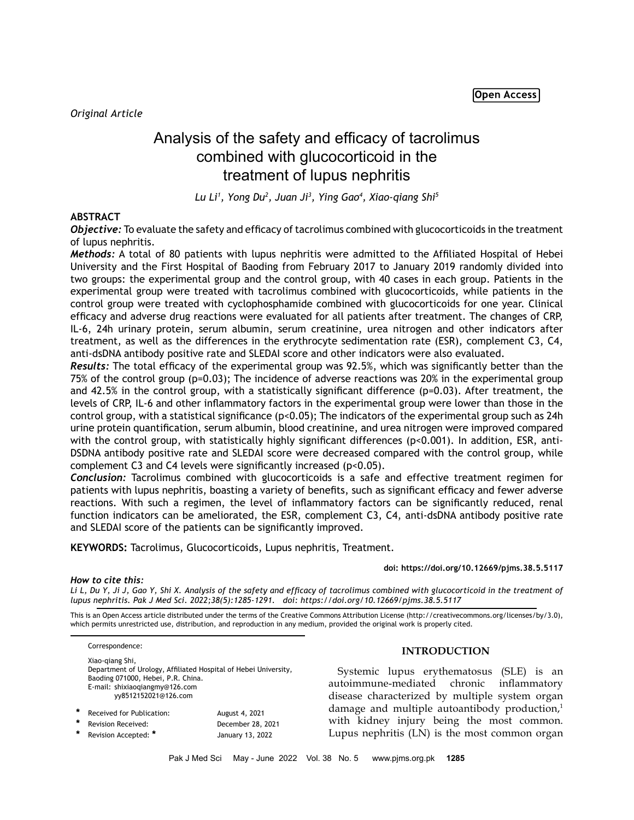# Analysis of the safety and efficacy of tacrolimus combined with glucocorticoid in the treatment of lupus nephritis

*Lu Li1 , Yong Du2 , Juan Ji3 , Ying Gao4 , Xiao-qiang Shi5*

# **ABSTRACT**

*Objective:* To evaluate the safety and efficacy of tacrolimus combined with glucocorticoids in the treatment of lupus nephritis.

*Methods:* A total of 80 patients with lupus nephritis were admitted to the Affiliated Hospital of Hebei University and the First Hospital of Baoding from February 2017 to January 2019 randomly divided into two groups: the experimental group and the control group, with 40 cases in each group. Patients in the experimental group were treated with tacrolimus combined with glucocorticoids, while patients in the control group were treated with cyclophosphamide combined with glucocorticoids for one year. Clinical efficacy and adverse drug reactions were evaluated for all patients after treatment. The changes of CRP, IL-6, 24h urinary protein, serum albumin, serum creatinine, urea nitrogen and other indicators after treatment, as well as the differences in the erythrocyte sedimentation rate (ESR), complement C3, C4, anti-dsDNA antibody positive rate and SLEDAI score and other indicators were also evaluated.

*Results:* The total efficacy of the experimental group was 92.5%, which was significantly better than the 75% of the control group (p=0.03); The incidence of adverse reactions was 20% in the experimental group and 42.5% in the control group, with a statistically significant difference (p=0.03). After treatment, the levels of CRP, IL-6 and other inflammatory factors in the experimental group were lower than those in the control group, with a statistical significance (p<0.05); The indicators of the experimental group such as 24h urine protein quantification, serum albumin, blood creatinine, and urea nitrogen were improved compared with the control group, with statistically highly significant differences (p<0.001). In addition, ESR, anti-DSDNA antibody positive rate and SLEDAI score were decreased compared with the control group, while complement C3 and C4 levels were significantly increased (p<0.05).

*Conclusion:* Tacrolimus combined with glucocorticoids is a safe and effective treatment regimen for patients with lupus nephritis, boasting a variety of benefits, such as significant efficacy and fewer adverse reactions. With such a regimen, the level of inflammatory factors can be significantly reduced, renal function indicators can be ameliorated, the ESR, complement C3, C4, anti-dsDNA antibody positive rate and SLEDAI score of the patients can be significantly improved.

**KEYWORDS:** Tacrolimus, Glucocorticoids, Lupus nephritis, Treatment.

**doi: https://doi.org/10.12669/pjms.38.5.5117**

## *How to cite this:*

*Li L, Du Y, Ji J, Gao Y, Shi X. Analysis of the safety and efficacy of tacrolimus combined with glucocorticoid in the treatment of lupus nephritis. Pak J Med Sci. 2022;38(5):1285-1291. doi: https://doi.org/10.12669/pjms.38.5.5117*

This is an Open Access article distributed under the terms of the Creative Commons Attribution License (http://creativecommons.org/licenses/by/3.0), which permits unrestricted use, distribution, and reproduction in any medium, provided the original work is properly cited.

Correspondence: Xiao-qiang Shi, Department of Urology, Affiliated Hospital of Hebei University, Baoding 071000, Hebei, P.R. China. E-mail: [shixiaoqiangmy@126.com](mailto:shixiaoqiangmy@126.com/) yy8512152021@126.com

| $\ast$ | Received for Publication: | August 4, 2021    |
|--------|---------------------------|-------------------|
|        | Revision Received:        | December 28, 2021 |
|        | Revision Accepted: *      | January 13, 2022  |

## **INTRODUCTION**

Systemic lupus erythematosus (SLE) is an autoimmune-mediated chronic inflammatory disease characterized by multiple system organ damage and multiple autoantibody production,<sup>1</sup> with kidney injury being the most common. Lupus nephritis (LN) is the most common organ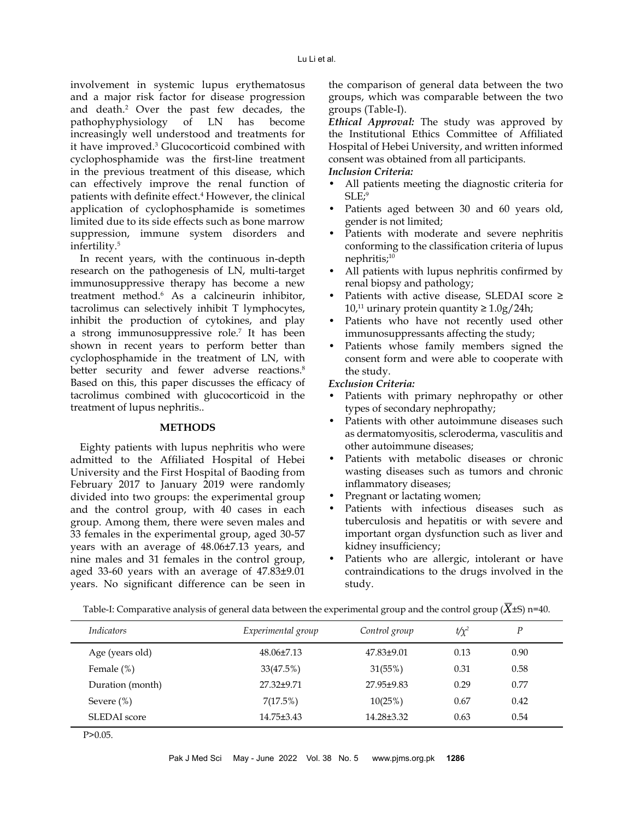involvement in systemic lupus erythematosus and a major risk factor for disease progression and death.<sup>2</sup> Over the past few decades, the pathophyphysiology of LN has become increasingly well understood and treatments for it have improved.<sup>3</sup> Glucocorticoid combined with cyclophosphamide was the first-line treatment in the previous treatment of this disease, which can effectively improve the renal function of patients with definite effect.<sup>4</sup> However, the clinical application of cyclophosphamide is sometimes limited due to its side effects such as bone marrow suppression, immune system disorders and infertility.5

In recent years, with the continuous in-depth research on the pathogenesis of LN, multi-target immunosuppressive therapy has become a new treatment method.6 As a calcineurin inhibitor, tacrolimus can selectively inhibit T lymphocytes, inhibit the production of cytokines, and play a strong immunosuppressive role.7 It has been shown in recent years to perform better than cyclophosphamide in the treatment of LN, with better security and fewer adverse reactions.<sup>8</sup> Based on this, this paper discusses the efficacy of tacrolimus combined with glucocorticoid in the treatment of lupus nephritis..

#### **METHODS**

Eighty patients with lupus nephritis who were admitted to the Affiliated Hospital of Hebei University and the First Hospital of Baoding from February 2017 to January 2019 were randomly divided into two groups: the experimental group and the control group, with 40 cases in each group. Among them, there were seven males and 33 females in the experimental group, aged 30-57 years with an average of 48.06±7.13 years, and nine males and 31 females in the control group, aged 33-60 years with an average of 47.83±9.01 years. No significant difference can be seen in the comparison of general data between the two groups, which was comparable between the two groups (Table-I).

*Ethical Approval:* The study was approved by the Institutional Ethics Committee of Affiliated Hospital of Hebei University, and written informed consent was obtained from all participants. *Inclusion Criteria:*

# All patients meeting the diagnostic criteria for  $SLE<sup>9</sup>$

- Patients aged between 30 and 60 years old, gender is not limited;
- Patients with moderate and severe nephritis conforming to the classification criteria of lupus nephritis;<sup>10</sup>
- All patients with lupus nephritis confirmed by renal biopsy and pathology;
- Patients with active disease, SLEDAI score ≥ 10,<sup>11</sup> urinary protein quantity  $\geq 1.0$ g/24h;
- Patients who have not recently used other immunosuppressants affecting the study;
- Patients whose family members signed the consent form and were able to cooperate with the study.

# *Exclusion Criteria:*

- Patients with primary nephropathy or other types of secondary nephropathy;
- Patients with other autoimmune diseases such as dermatomyositis, scleroderma, vasculitis and other autoimmune diseases;
- Patients with metabolic diseases or chronic wasting diseases such as tumors and chronic inflammatory diseases;
- Pregnant or lactating women;
- Patients with infectious diseases such as tuberculosis and hepatitis or with severe and important organ dysfunction such as liver and kidney insufficiency;
- Patients who are allergic, intolerant or have contraindications to the drugs involved in the study.

| <i>Indicators</i> | Experimental group | Control group | $t/\chi^2$ | P    |
|-------------------|--------------------|---------------|------------|------|
| Age (years old)   | $48.06\pm7.13$     | 47.83±9.01    | 0.13       | 0.90 |
| Female $(\%)$     | 33(47.5%)          | 31(55%)       | 0.31       | 0.58 |
| Duration (month)  | 27.32±9.71         | 27.95±9.83    | 0.29       | 0.77 |
| Severe $(\% )$    | 7(17.5%)           | 10(25%)       | 0.67       | 0.42 |
| SLEDAI score      | 14.75±3.43         | 14.28±3.32    | 0.63       | 0.54 |

Table-I: Comparative analysis of general data between the experimental group and the control group  $(X\pm S)$  n=40.

P>0.05.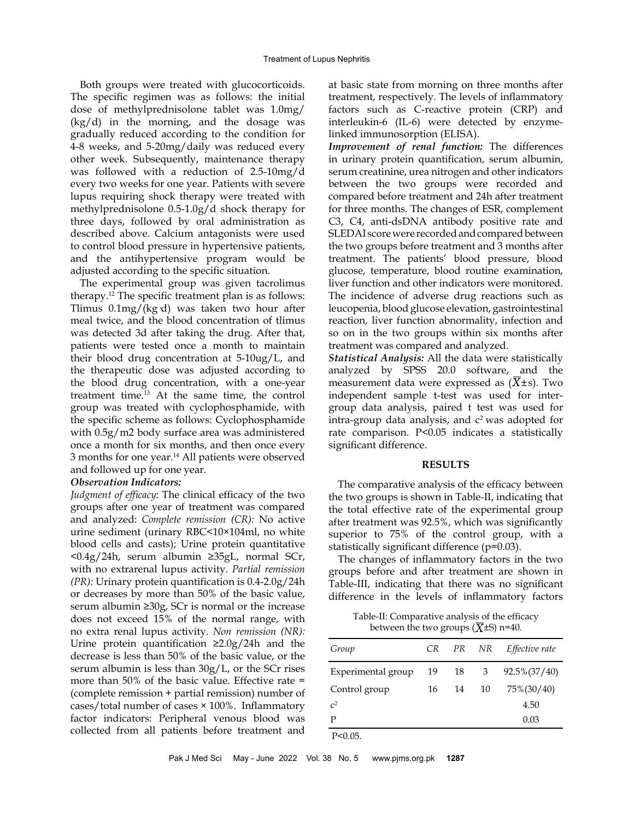Both groups were treated with glucocorticoids. The specific regimen was as follows: the initial dose of methylprednisolone tablet was 1.0mg/  $(kg/d)$  in the morning, and the dosage was gradually reduced according to the condition for 4-8 weeks, and 5-20mg/daily was reduced every other week. Subsequently, maintenance therapy was followed with a reduction of 2.5-10mg/d every two weeks for one year. Patients with severe lupus requiring shock therapy were treated with methylprednisolone 0.5-1.0g/d shock therapy for three days, followed by oral administration as described above. Calcium antagonists were used to control blood pressure in hypertensive patients, and the antihypertensive program would be adjusted according to the specific situation.

The experimental group was given tacrolimus therapy.12 The specific treatment plan is as follows: Tlimus 0.1mg/(kg·d) was taken two hour after meal twice, and the blood concentration of tlimus was detected 3d after taking the drug. After that, patients were tested once a month to maintain their blood drug concentration at 5-10ug/L, and the therapeutic dose was adjusted according to the blood drug concentration, with a one-year treatment time.<sup>13</sup> At the same time, the control group was treated with cyclophosphamide, with the specific scheme as follows: Cyclophosphamide with 0.5g/m2 body surface area was administered once a month for six months, and then once every 3 months for one year.14 All patients were observed and followed up for one year.

#### *Observation Indicators:*

*Judgment of efficacy*: The clinical efficacy of the two groups after one year of treatment was compared and analyzed: *Complete remission (CR):* No active urine sediment (urinary RBC<10×104ml, no white blood cells and casts); Urine protein quantitative <0.4g/24h, serum albumin ≥35gL, normal SCr, with no extrarenal lupus activity. *Partial remission (PR):* Urinary protein quantification is 0.4-2.0g/24h or decreases by more than 50% of the basic value, serum albumin ≥30g, SCr is normal or the increase does not exceed 15% of the normal range, with no extra renal lupus activity. *Non remission (NR):* Urine protein quantification ≥2.0g/24h and the decrease is less than 50% of the basic value, or the serum albumin is less than 30g/L, or the SCr rises more than 50% of the basic value. Effective rate = (complete remission + partial remission) number of cases/total number of cases × 100%. Inflammatory factor indicators: Peripheral venous blood was collected from all patients before treatment and at basic state from morning on three months after treatment, respectively. The levels of inflammatory factors such as C-reactive protein (CRP) and interleukin-6 (IL-6) were detected by enzymelinked immunosorption (ELISA).

*Improvement of renal function:* The differences in urinary protein quantification, serum albumin, serum creatinine, urea nitrogen and other indicators between the two groups were recorded and compared before treatment and 24h after treatment for three months. The changes of ESR, complement C3, C4, anti-dsDNA antibody positive rate and SLEDAI score were recorded and compared between the two groups before treatment and 3 months after treatment. The patients' blood pressure, blood glucose, temperature, blood routine examination, liver function and other indicators were monitored. The incidence of adverse drug reactions such as leucopenia, blood glucose elevation, gastrointestinal reaction, liver function abnormality, infection and so on in the two groups within six months after treatment was compared and analyzed.

*Statistical Analysis:* All the data were statistically analyzed by SPSS 20.0 software, and the measurement data were expressed as  $(X \pm s)$ . Two independent sample t-test was used for intergroup data analysis, paired t test was used for intra-group data analysis, and  $c<sup>2</sup>$  was adopted for rate comparison. P<0.05 indicates a statistically significant difference.

#### **RESULTS**

The comparative analysis of the efficacy between the two groups is shown in Table-II, indicating that the total effective rate of the experimental group after treatment was 92.5%, which was significantly superior to 75% of the control group, with a statistically significant difference (p=0.03).

The changes of inflammatory factors in the two groups before and after treatment are shown in Table-III, indicating that there was no significant difference in the levels of inflammatory factors

Table-II: Comparative analysis of the efficacy between the two groups  $(\overline{X} \pm S)$  n=40.

| Group              |    |    |       | CR PR NR Effective rate |
|--------------------|----|----|-------|-------------------------|
| Experimental group | 19 | 18 | 3     | $92.5\%(37/40)$         |
| Control group      | 16 |    | 14 10 | 75%(30/40)              |
| $\mathcal{C}^2$    |    |    |       | 4.50                    |
| P                  |    |    |       | 0.03                    |
|                    |    |    |       |                         |

P<0.05.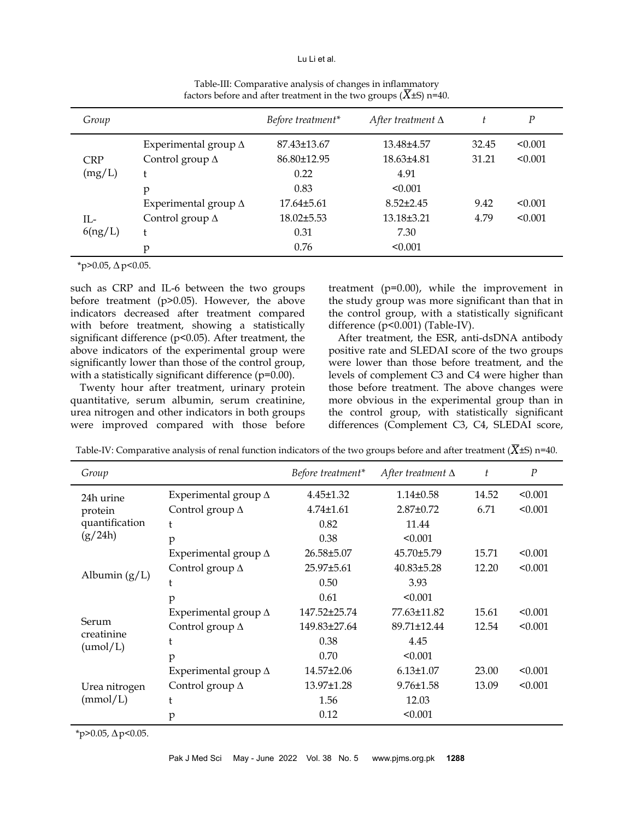#### Lu Li et al.

| Group      |                             | Before treatment* | After treatment $\Delta$ | t     | $\boldsymbol{P}$ |
|------------|-----------------------------|-------------------|--------------------------|-------|------------------|
|            | Experimental group $\Delta$ | 87.43±13.67       | 13.48±4.57               | 32.45 | < 0.001          |
| <b>CRP</b> | Control group $\Delta$      | 86.80±12.95       | 18.63±4.81               | 31.21 | < 0.001          |
| (mg/L)     | Ł                           | 0.22              | 4.91                     |       |                  |
|            | p                           | 0.83              | < 0.001                  |       |                  |
|            | Experimental group $\Delta$ | $17.64\pm5.61$    | $8.52 \pm 2.45$          | 9.42  | < 0.001          |
| П.-        | Control group $\Delta$      | $18.02 \pm 5.53$  | 13.18±3.21               | 4.79  | < 0.001          |
| 6(ng/L)    | Ł                           | 0.31              | 7.30                     |       |                  |
|            | p                           | 0.76              | < 0.001                  |       |                  |

Table-III: Comparative analysis of changes in inflammatory factors before and after treatment in the two groups  $(X±S)$  n=40.

\*p>0.05, *∆*p<0.05.

such as CRP and IL-6 between the two groups before treatment (p>0.05). However, the above indicators decreased after treatment compared with before treatment, showing a statistically significant difference (p<0.05). After treatment, the above indicators of the experimental group were significantly lower than those of the control group, with a statistically significant difference (p=0.00).

Twenty hour after treatment, urinary protein quantitative, serum albumin, serum creatinine, urea nitrogen and other indicators in both groups were improved compared with those before

treatment (p=0.00), while the improvement in the study group was more significant than that in the control group, with a statistically significant difference (p<0.001) (Table-IV).

After treatment, the ESR, anti-dsDNA antibody positive rate and SLEDAI score of the two groups were lower than those before treatment, and the levels of complement C3 and C4 were higher than those before treatment. The above changes were more obvious in the experimental group than in the control group, with statistically significant differences (Complement C3, C4, SLEDAI score,

| Group               |                             | Before treatment* | After treatment $\Delta$ | t     | $\boldsymbol{P}$ |
|---------------------|-----------------------------|-------------------|--------------------------|-------|------------------|
| 24h urine           | Experimental group $\Delta$ | $4.45 \pm 1.32$   | $1.14 \pm 0.58$          | 14.52 | < 0.001          |
| protein             | Control group $\Delta$      | $4.74 \pm 1.61$   | $2.87 \pm 0.72$          | 6.71  | < 0.001          |
| quantification      | t                           | 0.82              | 11.44                    |       |                  |
| (g/24h)             | p                           | 0.38              | < 0.001                  |       |                  |
|                     | Experimental group $\Delta$ | 26.58±5.07        | 45.70±5.79               | 15.71 | < 0.001          |
|                     | Control group $\Delta$      | 25.97±5.61        | $40.83 \pm 5.28$         | 12.20 | < 0.001          |
| Albumin $(g/L)$     | t                           | 0.50              | 3.93                     |       |                  |
|                     | p                           | 0.61              | < 0.001                  |       |                  |
|                     | Experimental group $\Delta$ | 147.52±25.74      | 77.63±11.82              | 15.61 | < 0.001          |
| Serum<br>creatinine | Control group $\Delta$      | 149.83±27.64      | 89.71±12.44              | 12.54 | < 0.001          |
| (numol/L)           | t                           | 0.38              | 4.45                     |       |                  |
|                     | p                           | 0.70              | < 0.001                  |       |                  |
|                     | Experimental group $\Delta$ | $14.57 \pm 2.06$  | $6.13 \pm 1.07$          | 23.00 | < 0.001          |
| Urea nitrogen       | Control group $\Delta$      | 13.97±1.28        | $9.76 \pm 1.58$          | 13.09 | < 0.001          |
| (mmol/L)            | t                           | 1.56              | 12.03                    |       |                  |
|                     | p                           | 0.12              | < 0.001                  |       |                  |

Table-IV: Comparative analysis of renal function indicators of the two groups before and after treatment ( $\overline{X}$ ±S) n=40.

\*p>0.05, *∆*p<0.05.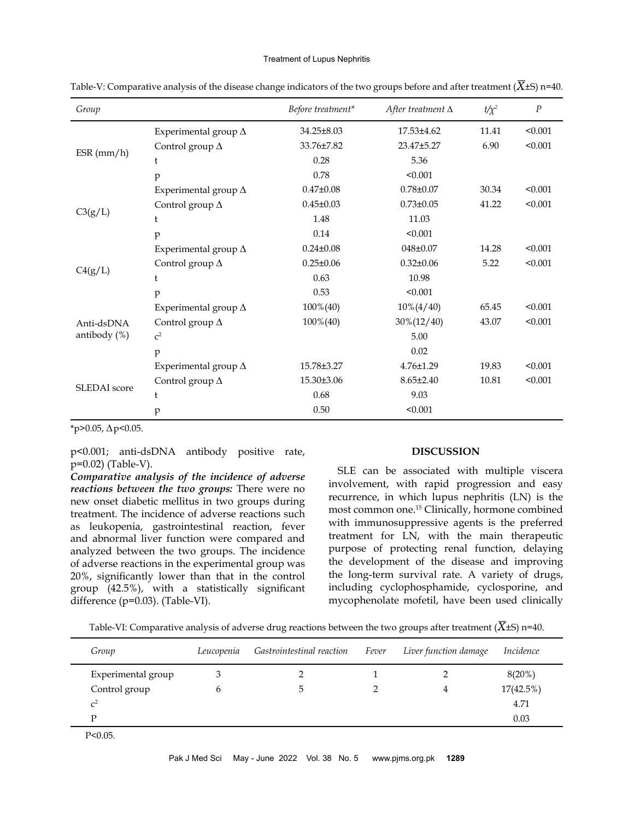#### Treatment of Lupus Nephritis

| Group           |                             | Before treatment* | After treatment $\Delta$ | $t/\chi^2$ | $\boldsymbol{P}$ |
|-----------------|-----------------------------|-------------------|--------------------------|------------|------------------|
|                 | Experimental group $\Delta$ | $34.25 \pm 8.03$  | $17.53\pm4.62$           | 11.41      | < 0.001          |
|                 | Control group $\Delta$      | 33.76±7.82        | 23.47±5.27               | 6.90       | < 0.001          |
| ESR(mm/h)       | t                           | 0.28              | 5.36                     |            |                  |
|                 | p                           | 0.78              | < 0.001                  |            |                  |
|                 | Experimental group $\Delta$ | $0.47{\pm}0.08$   | $0.78 \pm 0.07$          | 30.34      | < 0.001          |
|                 | Control group $\Delta$      | $0.45 \pm 0.03$   | $0.73 \pm 0.05$          | 41.22      | < 0.001          |
| C3(g/L)         | t                           | 1.48              | 11.03                    |            |                  |
|                 | p                           | 0.14              | < 0.001                  |            |                  |
|                 | Experimental group $\Delta$ | $0.24 \pm 0.08$   | 048±0.07                 | 14.28      | < 0.001          |
|                 | Control group $\Delta$      | $0.25 \pm 0.06$   | $0.32 \pm 0.06$          | 5.22       | < 0.001          |
| C4(g/L)         | t                           | 0.63              | 10.98                    |            |                  |
|                 | p                           | 0.53              | < 0.001                  |            |                  |
|                 | Experimental group $\Delta$ | 100%(40)          | $10\%(4/40)$             | 65.45      | < 0.001          |
| Anti-dsDNA      | Control group $\Delta$      | 100%(40)          | $30\%(12/40)$            | 43.07      | < 0.001          |
| antibody $(\%)$ | c <sup>2</sup>              |                   | 5.00                     |            |                  |
|                 | p                           |                   | 0.02                     |            |                  |
|                 | Experimental group $\Delta$ | 15.78±3.27        | $4.76 \pm 1.29$          | 19.83      | < 0.001          |
| SLEDAI score    | Control group $\Delta$      | 15.30±3.06        | $8.65 \pm 2.40$          | 10.81      | < 0.001          |
|                 | t                           | 0.68              | 9.03                     |            |                  |
|                 | p                           | 0.50              | < 0.001                  |            |                  |

Table-V: Comparative analysis of the disease change indicators of the two groups before and after treatment  $(X\pm S)$  n=40.

\*p>0.05, *∆*p<0.05.

p<0.001; anti-dsDNA antibody positive rate, p=0.02) (Table-V).

*Comparative analysis of the incidence of adverse reactions between the two groups:* There were no new onset diabetic mellitus in two groups during treatment. The incidence of adverse reactions such as leukopenia, gastrointestinal reaction, fever and abnormal liver function were compared and analyzed between the two groups. The incidence of adverse reactions in the experimental group was 20%, significantly lower than that in the control group (42.5%), with a statistically significant difference (p=0.03). (Table-VI).

## **DISCUSSION**

SLE can be associated with multiple viscera involvement, with rapid progression and easy recurrence, in which lupus nephritis (LN) is the most common one.15 Clinically, hormone combined with immunosuppressive agents is the preferred treatment for LN, with the main therapeutic purpose of protecting renal function, delaying the development of the disease and improving the long-term survival rate. A variety of drugs, including cyclophosphamide, cyclosporine, and mycophenolate mofetil, have been used clinically

Table-VI: Comparative analysis of adverse drug reactions between the two groups after treatment ( $\overline{X}$ ±S) n=40.

| Group              | Leucopenia | Gastrointestinal reaction | Fever | Liver function damage | Incidence |
|--------------------|------------|---------------------------|-------|-----------------------|-----------|
| Experimental group |            |                           |       |                       | 8(20%)    |
| Control group      | b          |                           |       | 4                     | 17(42.5%) |
| $\mathcal{C}^2$    |            |                           |       |                       | 4.71      |
| D                  |            |                           |       |                       | 0.03      |

P<0.05.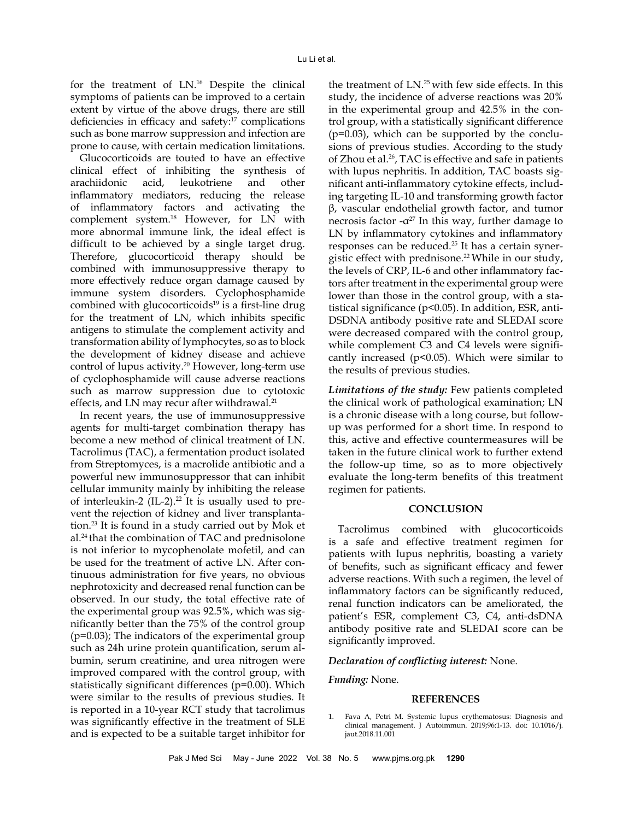for the treatment of LN.16 Despite the clinical symptoms of patients can be improved to a certain extent by virtue of the above drugs, there are still deficiencies in efficacy and safety:17 complications such as bone marrow suppression and infection are prone to cause, with certain medication limitations.

Glucocorticoids are touted to have an effective clinical effect of inhibiting the synthesis of arachiidonic acid, leukotriene and other inflammatory mediators, reducing the release of inflammatory factors and activating the complement system.18 However, for LN with more abnormal immune link, the ideal effect is difficult to be achieved by a single target drug. Therefore, glucocorticoid therapy should be combined with immunosuppressive therapy to more effectively reduce organ damage caused by immune system disorders. Cyclophosphamide combined with glucocorticoids $19$  is a first-line drug for the treatment of LN, which inhibits specific antigens to stimulate the complement activity and transformation ability of lymphocytes, so as to block the development of kidney disease and achieve control of lupus activity.<sup>20</sup> However, long-term use of cyclophosphamide will cause adverse reactions such as marrow suppression due to cytotoxic effects, and LN may recur after withdrawal.<sup>21</sup>

In recent years, the use of immunosuppressive agents for multi-target combination therapy has become a new method of clinical treatment of LN. Tacrolimus (TAC), a fermentation product isolated from Streptomyces, is a macrolide antibiotic and a powerful new immunosuppressor that can inhibit cellular immunity mainly by inhibiting the release of interleukin-2 (IL-2).<sup>22</sup> It is usually used to prevent the rejection of kidney and liver transplantation.23 It is found in a study carried out by Mok et al.24 that the combination of TAC and prednisolone is not inferior to mycophenolate mofetil, and can be used for the treatment of active LN. After continuous administration for five years, no obvious nephrotoxicity and decreased renal function can be observed. In our study, the total effective rate of the experimental group was 92.5%, which was significantly better than the 75% of the control group (p=0.03); The indicators of the experimental group such as 24h urine protein quantification, serum albumin, serum creatinine, and urea nitrogen were improved compared with the control group, with statistically significant differences (p=0.00). Which were similar to the results of previous studies. It is reported in a 10-year RCT study that tacrolimus was significantly effective in the treatment of SLE and is expected to be a suitable target inhibitor for

the treatment of  $LN^{25}$  with few side effects. In this study, the incidence of adverse reactions was 20% in the experimental group and 42.5% in the control group, with a statistically significant difference  $(p=0.03)$ , which can be supported by the conclusions of previous studies. According to the study of Zhou et al.<sup>26</sup>, TAC is effective and safe in patients with lupus nephritis. In addition, TAC boasts significant anti-inflammatory cytokine effects, including targeting IL-10 and transforming growth factor β, vascular endothelial growth factor, and tumor necrosis factor  $-\alpha^{27}$  In this way, further damage to LN by inflammatory cytokines and inflammatory responses can be reduced.25 It has a certain synergistic effect with prednisone.<sup>22</sup> While in our study, the levels of CRP, IL-6 and other inflammatory factors after treatment in the experimental group were lower than those in the control group, with a statistical significance (p<0.05). In addition, ESR, anti-DSDNA antibody positive rate and SLEDAI score were decreased compared with the control group, while complement C3 and C4 levels were significantly increased ( $p$ <0.05). Which were similar to the results of previous studies.

*Limitations of the study:* Few patients completed the clinical work of pathological examination; LN is a chronic disease with a long course, but followup was performed for a short time. In respond to this, active and effective countermeasures will be taken in the future clinical work to further extend the follow-up time, so as to more objectively evaluate the long-term benefits of this treatment regimen for patients.

### **CONCLUSION**

Tacrolimus combined with glucocorticoids is a safe and effective treatment regimen for patients with lupus nephritis, boasting a variety of benefits, such as significant efficacy and fewer adverse reactions. With such a regimen, the level of inflammatory factors can be significantly reduced, renal function indicators can be ameliorated, the patient's ESR, complement C3, C4, anti-dsDNA antibody positive rate and SLEDAI score can be significantly improved.

#### *Declaration of conflicting interest:* None.

*Funding:* None.

#### **REFERENCES**

1. Fava A, Petri M. Systemic lupus erythematosus: Diagnosis and clinical management. J Autoimmun. 2019;96:1-13. doi: 10.1016/j. jaut.2018.11.001